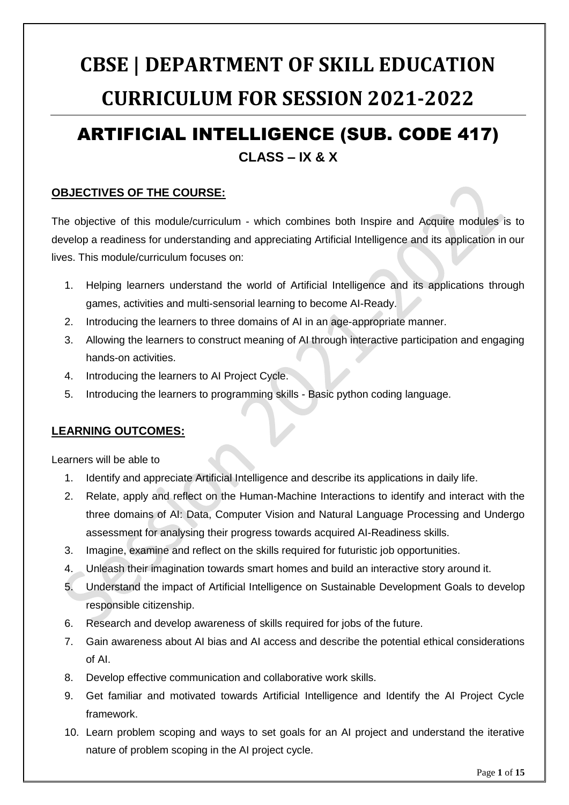# **CBSE | DEPARTMENT OF SKILL EDUCATION CURRICULUM FOR SESSION 2021-2022**

# ARTIFICIAL INTELLIGENCE (SUB. CODE 417) **CLASS – IX & X**

#### **OBJECTIVES OF THE COURSE:**

The objective of this module/curriculum - which combines both Inspire and Acquire modules is to develop a readiness for understanding and appreciating Artificial Intelligence and its application in our lives. This module/curriculum focuses on:

- 1. Helping learners understand the world of Artificial Intelligence and its applications through games, activities and multi-sensorial learning to become AI-Ready.
- 2. Introducing the learners to three domains of AI in an age-appropriate manner.
- 3. Allowing the learners to construct meaning of AI through interactive participation and engaging hands-on activities.
- 4. Introducing the learners to AI Project Cycle.
- 5. Introducing the learners to programming skills Basic python coding language.

#### **LEARNING OUTCOMES:**

Learners will be able to

- 1. Identify and appreciate Artificial Intelligence and describe its applications in daily life.
- 2. Relate, apply and reflect on the Human-Machine Interactions to identify and interact with the three domains of AI: Data, Computer Vision and Natural Language Processing and Undergo assessment for analysing their progress towards acquired AI-Readiness skills.
- 3. Imagine, examine and reflect on the skills required for futuristic job opportunities.
- 4. Unleash their imagination towards smart homes and build an interactive story around it.
- 5. Understand the impact of Artificial Intelligence on Sustainable Development Goals to develop responsible citizenship.
- 6. Research and develop awareness of skills required for jobs of the future.
- 7. Gain awareness about AI bias and AI access and describe the potential ethical considerations of AI.
- 8. Develop effective communication and collaborative work skills.
- 9. Get familiar and motivated towards Artificial Intelligence and Identify the AI Project Cycle framework.
- 10. Learn problem scoping and ways to set goals for an AI project and understand the iterative nature of problem scoping in the AI project cycle.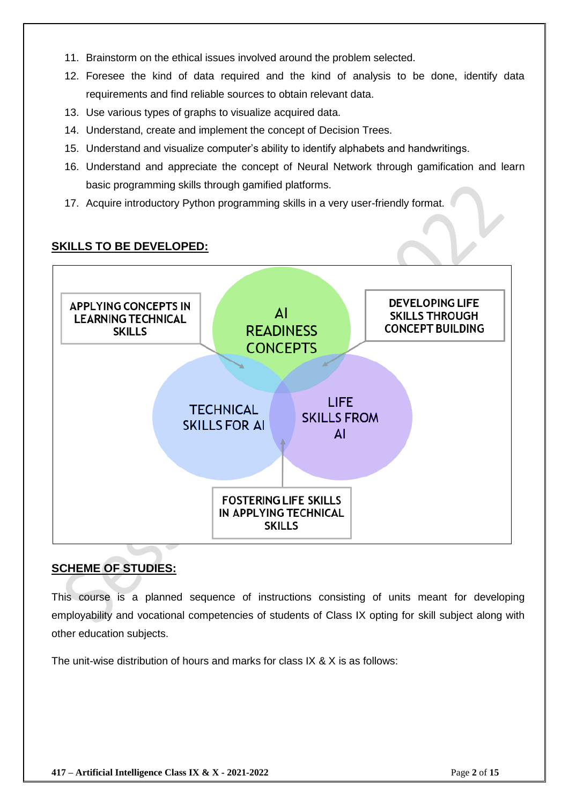- 11. Brainstorm on the ethical issues involved around the problem selected.
- 12. Foresee the kind of data required and the kind of analysis to be done, identify data requirements and find reliable sources to obtain relevant data.
- 13. Use various types of graphs to visualize acquired data.
- 14. Understand, create and implement the concept of Decision Trees.
- 15. Understand and visualize computer's ability to identify alphabets and handwritings.
- 16. Understand and appreciate the concept of Neural Network through gamification and learn basic programming skills through gamified platforms.
- 17. Acquire introductory Python programming skills in a very user-friendly format.

### **SKILLS TO BE DEVELOPED: DEVELOPING LIFE APPLYING CONCEPTS IN**  $\Delta$ **SKILLS THROUGH LEARNING TECHNICAL READINESS CONCEPT BUILDING SKILLS CONCEPTS LIFE TECHNICAL SKILLS FROM SKILLS FOR AI** AI **FOSTERING LIFE SKILLS** IN APPLYING TECHNICAL **SKILLS**

#### **SCHEME OF STUDIES:**

This course is a planned sequence of instructions consisting of units meant for developing employability and vocational competencies of students of Class IX opting for skill subject along with other education subjects.

The unit-wise distribution of hours and marks for class IX & X is as follows: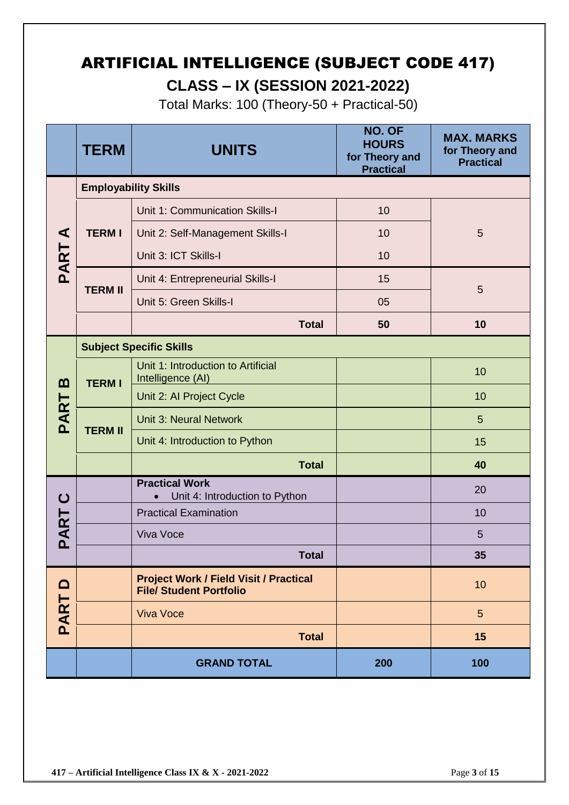# ARTIFICIAL INTELLIGENCE (SUBJECT CODE 417) **CLASS – IX (SESSION 2021-2022)**

Total Marks: 100 (Theory-50 + Practical-50)

|          | <b>TERM</b>                 | <b>UNITS</b>                                                                    | NO. OF<br><b>HOURS</b><br>for Theory and<br><b>Practical</b> | <b>MAX. MARKS</b><br>for Theory and<br><b>Practical</b> |
|----------|-----------------------------|---------------------------------------------------------------------------------|--------------------------------------------------------------|---------------------------------------------------------|
|          | <b>Employability Skills</b> |                                                                                 |                                                              |                                                         |
|          |                             | Unit 1: Communication Skills-I                                                  | 10                                                           |                                                         |
| ⋖        | <b>TERMI</b>                | Unit 2: Self-Management Skills-I                                                | 10                                                           | 5                                                       |
| PART     |                             | Unit 3: ICT Skills-I                                                            | 10                                                           |                                                         |
|          |                             | Unit 4: Entrepreneurial Skills-I                                                | 15                                                           | 5                                                       |
|          | <b>TERM II</b>              | Unit 5: Green Skills-I                                                          | 05                                                           |                                                         |
|          |                             | <b>Total</b>                                                                    | 50                                                           | 10                                                      |
|          |                             | <b>Subject Specific Skills</b>                                                  |                                                              |                                                         |
| <u>ന</u> | <b>TERMI</b>                | Unit 1: Introduction to Artificial<br>Intelligence (AI)                         |                                                              | 10                                                      |
|          |                             | Unit 2: Al Project Cycle                                                        |                                                              | 10                                                      |
| PART     |                             | <b>Unit 3: Neural Network</b>                                                   |                                                              | 5                                                       |
|          | <b>TERM II</b>              | Unit 4: Introduction to Python                                                  |                                                              | 15                                                      |
|          |                             | <b>Total</b>                                                                    |                                                              | 40                                                      |
| ပ        |                             | <b>Practical Work</b><br>Unit 4: Introduction to Python                         |                                                              | 20                                                      |
|          |                             | <b>Practical Examination</b>                                                    |                                                              | 10                                                      |
| PART     |                             | Viva Voce                                                                       |                                                              | 5                                                       |
|          |                             | <b>Total</b>                                                                    |                                                              | 35                                                      |
| $\Box$   |                             | <b>Project Work / Field Visit / Practical</b><br><b>File/ Student Portfolio</b> |                                                              | 10                                                      |
| PART     |                             | <b>Viva Voce</b>                                                                |                                                              | $5\phantom{.}$                                          |
|          |                             | <b>Total</b>                                                                    |                                                              | 15                                                      |
|          |                             | <b>GRAND TOTAL</b>                                                              | 200                                                          | 100                                                     |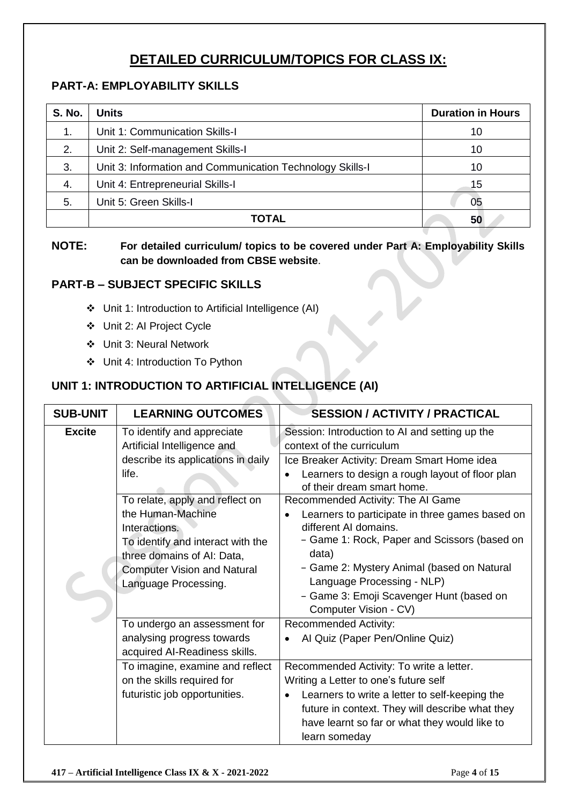## **DETAILED CURRICULUM/TOPICS FOR CLASS IX:**

#### **PART-A: EMPLOYABILITY SKILLS**

| <b>S. No.</b> | <b>Units</b>                                              | <b>Duration in Hours</b> |
|---------------|-----------------------------------------------------------|--------------------------|
| 1.            | Unit 1: Communication Skills-I                            | 10                       |
| 2.            | Unit 2: Self-management Skills-I                          | 10                       |
| 3.            | Unit 3: Information and Communication Technology Skills-I | 10                       |
| 4.            | Unit 4: Entrepreneurial Skills-I                          | 15                       |
| 5.            | Unit 5: Green Skills-I                                    | 05                       |
|               | ΤΟΤΑL                                                     | 50                       |

#### **NOTE: For detailed curriculum/ topics to be covered under Part A: Employability Skills can be downloaded from CBSE website**.

#### **PART-B – SUBJECT SPECIFIC SKILLS**

- ❖ Unit 1: Introduction to Artificial Intelligence (AI)
- ❖ Unit 2: AI Project Cycle
- ❖ Unit 3: Neural Network
- ❖ Unit 4: Introduction To Python

#### **UNIT 1: INTRODUCTION TO ARTIFICIAL INTELLIGENCE (AI)**

| <b>SUB-UNIT</b> | <b>LEARNING OUTCOMES</b>                                                                                                                                                                               | <b>SESSION / ACTIVITY / PRACTICAL</b>                                                                                                                                                                                                                                                          |
|-----------------|--------------------------------------------------------------------------------------------------------------------------------------------------------------------------------------------------------|------------------------------------------------------------------------------------------------------------------------------------------------------------------------------------------------------------------------------------------------------------------------------------------------|
| <b>Excite</b>   | To identify and appreciate<br>Artificial Intelligence and<br>describe its applications in daily<br>life.                                                                                               | Session: Introduction to AI and setting up the<br>context of the curriculum<br>Ice Breaker Activity: Dream Smart Home idea                                                                                                                                                                     |
|                 |                                                                                                                                                                                                        | Learners to design a rough layout of floor plan<br>of their dream smart home.                                                                                                                                                                                                                  |
|                 | To relate, apply and reflect on<br>the Human-Machine<br>Interactions.<br>To identify and interact with the<br>three domains of AI: Data,<br><b>Computer Vision and Natural</b><br>Language Processing. | Recommended Activity: The AI Game<br>Learners to participate in three games based on<br>different AI domains.<br>- Game 1: Rock, Paper and Scissors (based on<br>data)<br>- Game 2: Mystery Animal (based on Natural<br>Language Processing - NLP)<br>- Game 3: Emoji Scavenger Hunt (based on |
|                 | To undergo an assessment for<br>analysing progress towards<br>acquired AI-Readiness skills.                                                                                                            | Computer Vision - CV)<br><b>Recommended Activity:</b><br>Al Quiz (Paper Pen/Online Quiz)                                                                                                                                                                                                       |
|                 | To imagine, examine and reflect<br>on the skills required for<br>futuristic job opportunities.                                                                                                         | Recommended Activity: To write a letter.<br>Writing a Letter to one's future self<br>Learners to write a letter to self-keeping the<br>future in context. They will describe what they<br>have learnt so far or what they would like to<br>learn someday                                       |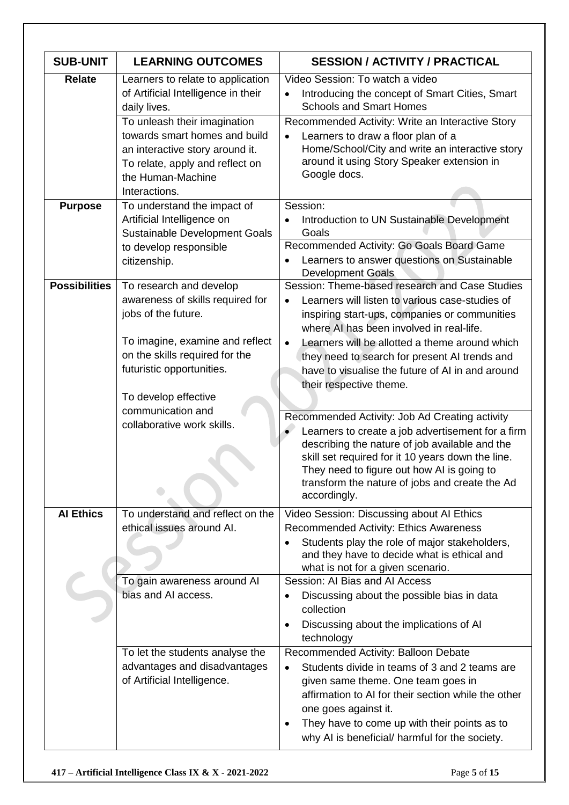| <b>SUB-UNIT</b>      | <b>LEARNING OUTCOMES</b>                                                                                                                                                                                                                                              | <b>SESSION / ACTIVITY / PRACTICAL</b>                                                                                                                                                                                                                                                                                                                                                                      |
|----------------------|-----------------------------------------------------------------------------------------------------------------------------------------------------------------------------------------------------------------------------------------------------------------------|------------------------------------------------------------------------------------------------------------------------------------------------------------------------------------------------------------------------------------------------------------------------------------------------------------------------------------------------------------------------------------------------------------|
| <b>Relate</b>        | Learners to relate to application<br>of Artificial Intelligence in their<br>daily lives.<br>To unleash their imagination<br>towards smart homes and build<br>an interactive story around it.<br>To relate, apply and reflect on<br>the Human-Machine<br>Interactions. | Video Session: To watch a video<br>Introducing the concept of Smart Cities, Smart<br>$\bullet$<br><b>Schools and Smart Homes</b><br>Recommended Activity: Write an Interactive Story<br>Learners to draw a floor plan of a<br>$\bullet$<br>Home/School/City and write an interactive story<br>around it using Story Speaker extension in<br>Google docs.                                                   |
| <b>Purpose</b>       | To understand the impact of<br>Artificial Intelligence on<br>Sustainable Development Goals<br>to develop responsible<br>citizenship.                                                                                                                                  | Session:<br>Introduction to UN Sustainable Development<br>$\bullet$<br>Goals<br>Recommended Activity: Go Goals Board Game<br>Learners to answer questions on Sustainable<br>$\bullet$<br><b>Development Goals</b>                                                                                                                                                                                          |
| <b>Possibilities</b> | To research and develop<br>awareness of skills required for<br>jobs of the future.<br>To imagine, examine and reflect<br>on the skills required for the<br>futuristic opportunities.<br>To develop effective                                                          | Session: Theme-based research and Case Studies<br>Learners will listen to various case-studies of<br>$\bullet$<br>inspiring start-ups, companies or communities<br>where AI has been involved in real-life.<br>Learners will be allotted a theme around which<br>$\bullet$<br>they need to search for present AI trends and<br>have to visualise the future of AI in and around<br>their respective theme. |
|                      | communication and<br>collaborative work skills.                                                                                                                                                                                                                       | Recommended Activity: Job Ad Creating activity<br>Learners to create a job advertisement for a firm<br>describing the nature of job available and the<br>skill set required for it 10 years down the line.<br>They need to figure out how AI is going to<br>transform the nature of jobs and create the Ad<br>accordingly.                                                                                 |
| <b>Al Ethics</b>     | To understand and reflect on the<br>ethical issues around Al.<br>To gain awareness around Al<br>bias and AI access.                                                                                                                                                   | Video Session: Discussing about AI Ethics<br>Recommended Activity: Ethics Awareness<br>Students play the role of major stakeholders,<br>and they have to decide what is ethical and<br>what is not for a given scenario.<br>Session: Al Bias and Al Access<br>Discussing about the possible bias in data<br>$\bullet$<br>collection<br>Discussing about the implications of AI<br>$\bullet$<br>technology  |
|                      | To let the students analyse the<br>advantages and disadvantages<br>of Artificial Intelligence.                                                                                                                                                                        | Recommended Activity: Balloon Debate<br>Students divide in teams of 3 and 2 teams are<br>given same theme. One team goes in<br>affirmation to AI for their section while the other<br>one goes against it.<br>They have to come up with their points as to<br>$\bullet$<br>why AI is beneficial/ harmful for the society.                                                                                  |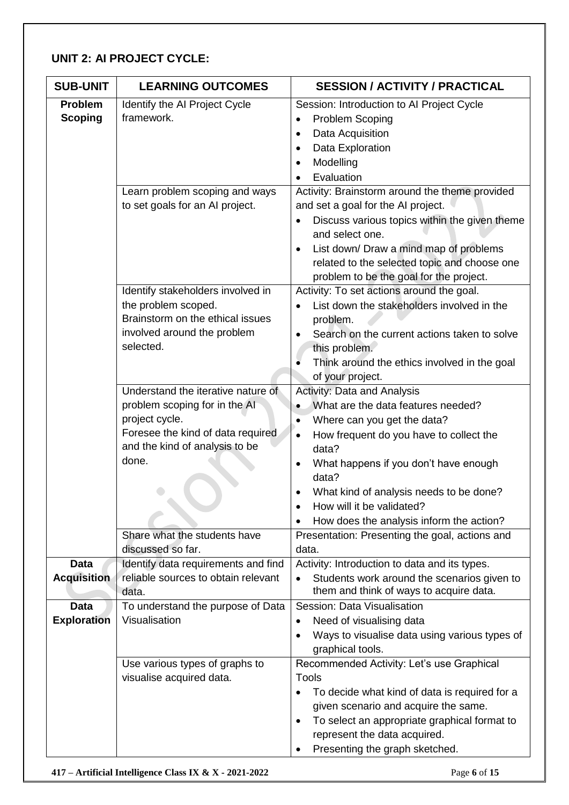#### **UNIT 2: AI PROJECT CYCLE:**

| <b>SUB-UNIT</b>                   | <b>LEARNING OUTCOMES</b>                                                                                                                                              | <b>SESSION / ACTIVITY / PRACTICAL</b>                                                                                                                                                                                                                                                                                                                                                 |
|-----------------------------------|-----------------------------------------------------------------------------------------------------------------------------------------------------------------------|---------------------------------------------------------------------------------------------------------------------------------------------------------------------------------------------------------------------------------------------------------------------------------------------------------------------------------------------------------------------------------------|
| <b>Problem</b><br><b>Scoping</b>  | Identify the AI Project Cycle<br>framework.                                                                                                                           | Session: Introduction to AI Project Cycle<br>Problem Scoping<br>$\bullet$<br>Data Acquisition<br>$\bullet$<br>Data Exploration<br>Modelling<br>Evaluation                                                                                                                                                                                                                             |
|                                   | Learn problem scoping and ways<br>to set goals for an Al project.                                                                                                     | Activity: Brainstorm around the theme provided<br>and set a goal for the AI project.<br>Discuss various topics within the given theme<br>and select one.<br>List down/ Draw a mind map of problems<br>$\bullet$<br>related to the selected topic and choose one<br>problem to be the goal for the project.                                                                            |
|                                   | Identify stakeholders involved in<br>the problem scoped.<br>Brainstorm on the ethical issues<br>involved around the problem<br>selected.                              | Activity: To set actions around the goal.<br>List down the stakeholders involved in the<br>problem.<br>Search on the current actions taken to solve<br>this problem.<br>Think around the ethics involved in the goal<br>of your project.                                                                                                                                              |
|                                   | Understand the iterative nature of<br>problem scoping for in the Al<br>project cycle.<br>Foresee the kind of data required<br>and the kind of analysis to be<br>done. | <b>Activity: Data and Analysis</b><br>What are the data features needed?<br>$\bullet$<br>Where can you get the data?<br>$\bullet$<br>How frequent do you have to collect the<br>$\bullet$<br>data?<br>What happens if you don't have enough<br>$\bullet$<br>data?<br>What kind of analysis needs to be done?<br>How will it be validated?<br>How does the analysis inform the action? |
|                                   | Share what the students have<br>discussed so far.                                                                                                                     | Presentation: Presenting the goal, actions and<br>data.                                                                                                                                                                                                                                                                                                                               |
| <b>Data</b><br><b>Acquisition</b> | Identify data requirements and find<br>reliable sources to obtain relevant<br>data.                                                                                   | Activity: Introduction to data and its types.<br>Students work around the scenarios given to<br>them and think of ways to acquire data.                                                                                                                                                                                                                                               |
| <b>Data</b><br><b>Exploration</b> | To understand the purpose of Data<br>Visualisation                                                                                                                    | Session: Data Visualisation<br>Need of visualising data<br>$\bullet$<br>Ways to visualise data using various types of<br>graphical tools.                                                                                                                                                                                                                                             |
|                                   | Use various types of graphs to<br>visualise acquired data.                                                                                                            | Recommended Activity: Let's use Graphical<br><b>Tools</b><br>To decide what kind of data is required for a<br>given scenario and acquire the same.<br>To select an appropriate graphical format to<br>$\bullet$<br>represent the data acquired.<br>Presenting the graph sketched.                                                                                                     |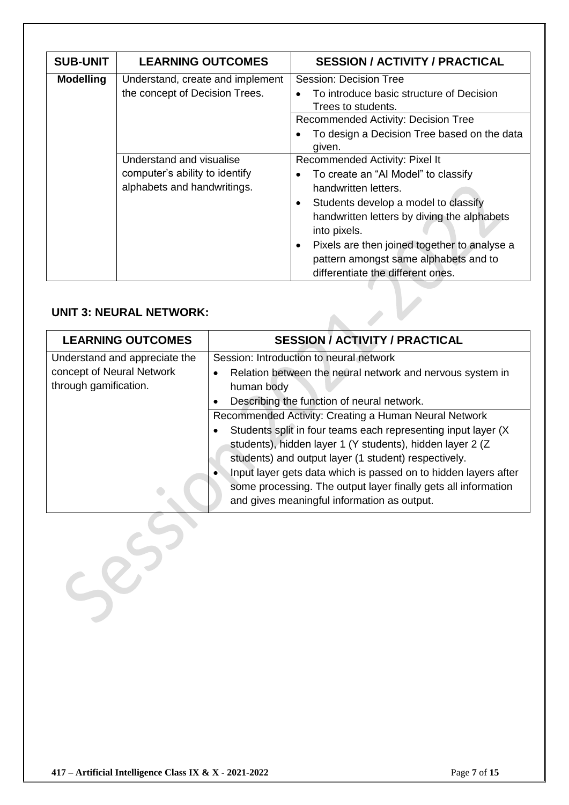| <b>SUB-UNIT</b>  | <b>LEARNING OUTCOMES</b>                                                                  | <b>SESSION / ACTIVITY / PRACTICAL</b>                                                                                                                                                                                                                                                                                                   |
|------------------|-------------------------------------------------------------------------------------------|-----------------------------------------------------------------------------------------------------------------------------------------------------------------------------------------------------------------------------------------------------------------------------------------------------------------------------------------|
| <b>Modelling</b> | Understand, create and implement<br>the concept of Decision Trees.                        | Session: Decision Tree<br>To introduce basic structure of Decision<br>Trees to students.<br><b>Recommended Activity: Decision Tree</b><br>To design a Decision Tree based on the data<br>given.                                                                                                                                         |
|                  | Understand and visualise<br>computer's ability to identify<br>alphabets and handwritings. | Recommended Activity: Pixel It<br>To create an "Al Model" to classify<br>handwritten letters.<br>Students develop a model to classify<br>٠<br>handwritten letters by diving the alphabets<br>into pixels.<br>Pixels are then joined together to analyse a<br>pattern amongst same alphabets and to<br>differentiate the different ones. |

#### **UNIT 3: NEURAL NETWORK:**

 $585$ 

| <b>UNIT 3: NEURAL NETWORK:</b>                                                      |                                                                                                                                                                                                                                                                                                                                                                                                                                                                                |  |  |
|-------------------------------------------------------------------------------------|--------------------------------------------------------------------------------------------------------------------------------------------------------------------------------------------------------------------------------------------------------------------------------------------------------------------------------------------------------------------------------------------------------------------------------------------------------------------------------|--|--|
| <b>LEARNING OUTCOMES</b>                                                            | <b>SESSION / ACTIVITY / PRACTICAL</b>                                                                                                                                                                                                                                                                                                                                                                                                                                          |  |  |
| Understand and appreciate the<br>concept of Neural Network<br>through gamification. | Session: Introduction to neural network<br>Relation between the neural network and nervous system in<br>human body                                                                                                                                                                                                                                                                                                                                                             |  |  |
|                                                                                     | Describing the function of neural network.<br>Recommended Activity: Creating a Human Neural Network<br>Students split in four teams each representing input layer (X)<br>students), hidden layer 1 (Y students), hidden layer 2 (Z<br>students) and output layer (1 student) respectively.<br>Input layer gets data which is passed on to hidden layers after<br>some processing. The output layer finally gets all information<br>and gives meaningful information as output. |  |  |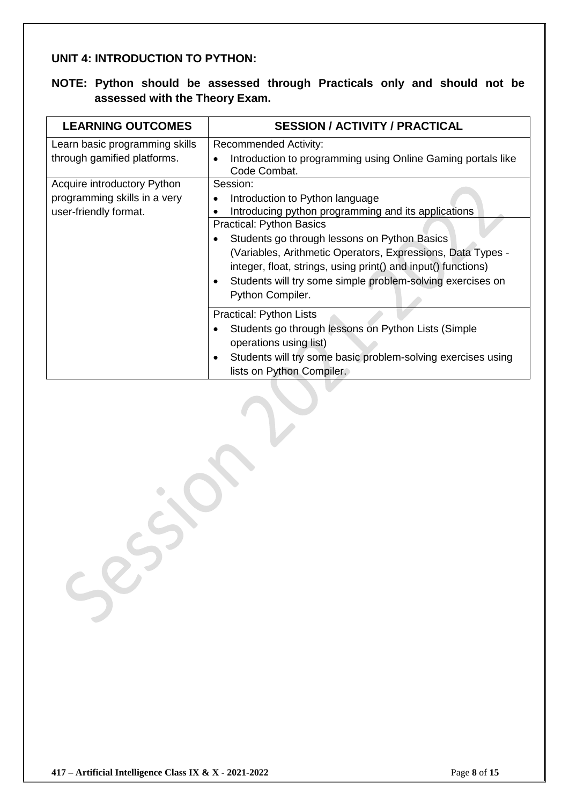#### **UNIT 4: INTRODUCTION TO PYTHON:**

#### **NOTE: Python should be assessed through Practicals only and should not be assessed with the Theory Exam.**

| <b>LEARNING OUTCOMES</b>                                                             | <b>SESSION / ACTIVITY / PRACTICAL</b>                                                                                                                                                                                                                                                                                                                                                                   |
|--------------------------------------------------------------------------------------|---------------------------------------------------------------------------------------------------------------------------------------------------------------------------------------------------------------------------------------------------------------------------------------------------------------------------------------------------------------------------------------------------------|
| Learn basic programming skills<br>through gamified platforms.                        | <b>Recommended Activity:</b><br>Introduction to programming using Online Gaming portals like<br>Code Combat.                                                                                                                                                                                                                                                                                            |
| Acquire introductory Python<br>programming skills in a very<br>user-friendly format. | Session:<br>Introduction to Python language<br>Introducing python programming and its applications<br><b>Practical: Python Basics</b><br>Students go through lessons on Python Basics<br>(Variables, Arithmetic Operators, Expressions, Data Types -<br>integer, float, strings, using print() and input() functions)<br>Students will try some simple problem-solving exercises on<br>Python Compiler. |
|                                                                                      | Practical: Python Lists<br>Students go through lessons on Python Lists (Simple<br>٠<br>operations using list)<br>Students will try some basic problem-solving exercises using<br>٠<br>lists on Python Compiler.                                                                                                                                                                                         |

 $555$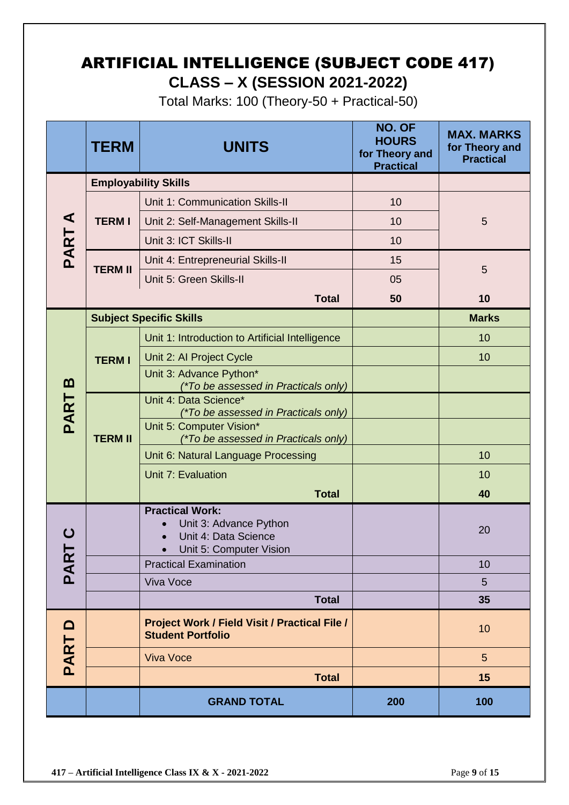# ARTIFICIAL INTELLIGENCE (SUBJECT CODE 417) **CLASS – X (SESSION 2021-2022)**

Total Marks: 100 (Theory-50 + Practical-50)

|                       | <b>TERM</b>                                                                                         | <b>UNITS</b>                                                              | <b>NO. OF</b><br><b>HOURS</b><br>for Theory and<br><b>Practical</b> | <b>MAX. MARKS</b><br>for Theory and<br><b>Practical</b> |
|-----------------------|-----------------------------------------------------------------------------------------------------|---------------------------------------------------------------------------|---------------------------------------------------------------------|---------------------------------------------------------|
|                       |                                                                                                     | <b>Employability Skills</b>                                               |                                                                     |                                                         |
|                       |                                                                                                     | Unit 1: Communication Skills-II                                           | 10                                                                  |                                                         |
| $\blacktriangleleft$  | <b>TERMI</b>                                                                                        | Unit 2: Self-Management Skills-II                                         | 10                                                                  | 5                                                       |
|                       |                                                                                                     | Unit 3: ICT Skills-II                                                     | 10                                                                  |                                                         |
| PART.                 | <b>TERM II</b>                                                                                      | Unit 4: Entrepreneurial Skills-II                                         | 15                                                                  |                                                         |
|                       |                                                                                                     | Unit 5: Green Skills-II                                                   | 05                                                                  | 5                                                       |
|                       |                                                                                                     | <b>Total</b>                                                              | 50                                                                  | 10                                                      |
|                       |                                                                                                     | <b>Subject Specific Skills</b>                                            |                                                                     | <b>Marks</b>                                            |
|                       |                                                                                                     | Unit 1: Introduction to Artificial Intelligence                           |                                                                     | 10                                                      |
|                       | <b>TERM I</b>                                                                                       | Unit 2: Al Project Cycle                                                  |                                                                     | 10                                                      |
| $\boldsymbol{\omega}$ |                                                                                                     | Unit 3: Advance Python*<br>(*To be assessed in Practicals only)           |                                                                     |                                                         |
| <b>PART</b>           |                                                                                                     | Unit 4: Data Science*<br>(*To be assessed in Practicals only)             |                                                                     |                                                         |
|                       | <b>TERM II</b>                                                                                      | Unit 5: Computer Vision*<br>(*To be assessed in Practicals only)          |                                                                     |                                                         |
|                       |                                                                                                     | Unit 6: Natural Language Processing                                       |                                                                     | 10                                                      |
|                       |                                                                                                     | Unit 7: Evaluation                                                        |                                                                     | 10                                                      |
|                       |                                                                                                     | <b>Total</b>                                                              |                                                                     | 40                                                      |
|                       | <b>Practical Work:</b><br>Unit 3: Advance Python<br>Unit 4: Data Science<br>Unit 5: Computer Vision |                                                                           |                                                                     | 20                                                      |
| <b>PAR</b>            |                                                                                                     | <b>Practical Examination</b>                                              |                                                                     | 10                                                      |
|                       |                                                                                                     | Viva Voce                                                                 |                                                                     | 5                                                       |
|                       |                                                                                                     | <b>Total</b>                                                              |                                                                     | 35                                                      |
| $\mathbf{\Omega}$     |                                                                                                     | Project Work / Field Visit / Practical File /<br><b>Student Portfolio</b> |                                                                     | 10                                                      |
| PART                  |                                                                                                     | <b>Viva Voce</b>                                                          |                                                                     | 5                                                       |
|                       |                                                                                                     | <b>Total</b>                                                              |                                                                     | 15                                                      |
|                       |                                                                                                     | <b>GRAND TOTAL</b>                                                        | 200                                                                 | 100                                                     |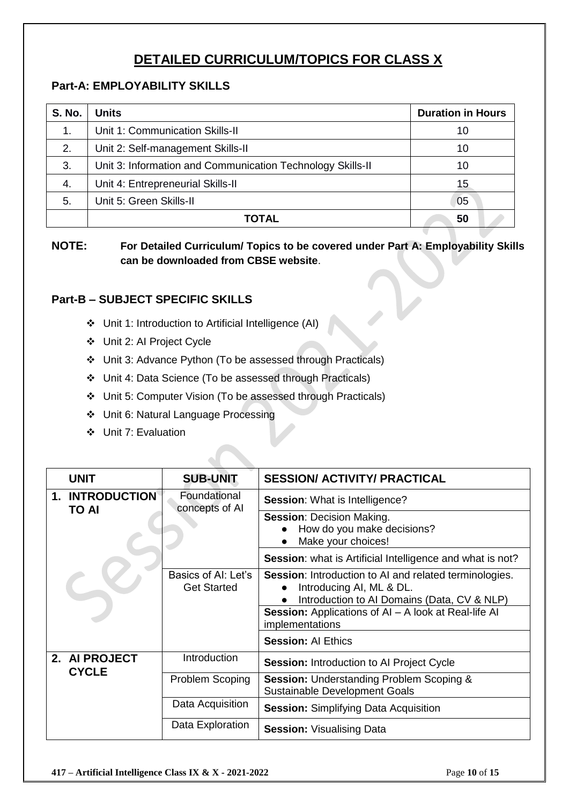### **DETAILED CURRICULUM/TOPICS FOR CLASS X**

#### **Part-A: EMPLOYABILITY SKILLS**

| <b>S. No.</b> | <b>Units</b>                                               | <b>Duration in Hours</b> |  |
|---------------|------------------------------------------------------------|--------------------------|--|
| 1.            | Unit 1: Communication Skills-II                            | 10                       |  |
| 2.            | Unit 2: Self-management Skills-II                          |                          |  |
| 3.            | Unit 3: Information and Communication Technology Skills-II | 10                       |  |
| 4.            | Unit 4: Entrepreneurial Skills-II<br>15                    |                          |  |
| 5.            | Unit 5: Green Skills-II                                    | 05                       |  |
|               | <b>TOTAL</b>                                               | 50                       |  |

**NOTE: For Detailed Curriculum/ Topics to be covered under Part A: Employability Skills can be downloaded from CBSE website**.

#### **Part-B – SUBJECT SPECIFIC SKILLS**

- ❖ Unit 1: Introduction to Artificial Intelligence (AI)
- ❖ Unit 2: AI Project Cycle
- ❖ Unit 3: Advance Python (To be assessed through Practicals)
- ❖ Unit 4: Data Science (To be assessed through Practicals)
- ❖ Unit 5: Computer Vision (To be assessed through Practicals)
- ❖ Unit 6: Natural Language Processing
- ❖ Unit 7: Evaluation

| <b>UNIT</b>                            | <b>SUB-UNIT</b>                           | <b>SESSION/ ACTIVITY/ PRACTICAL</b>                                                                                                                                                                                                              |
|----------------------------------------|-------------------------------------------|--------------------------------------------------------------------------------------------------------------------------------------------------------------------------------------------------------------------------------------------------|
| <b>1. INTRODUCTION</b><br><b>TO AI</b> | Foundational<br>concepts of AI            | <b>Session:</b> What is Intelligence?                                                                                                                                                                                                            |
|                                        |                                           | <b>Session: Decision Making.</b><br>How do you make decisions?<br>Make your choices!                                                                                                                                                             |
|                                        |                                           | Session: what is Artificial Intelligence and what is not?                                                                                                                                                                                        |
|                                        | Basics of AI: Let's<br><b>Get Started</b> | <b>Session:</b> Introduction to AI and related terminologies.<br>Introducing AI, ML & DL.<br>Introduction to AI Domains (Data, CV & NLP)<br>Session: Applications of AI - A look at Real-life AI<br>implementations<br><b>Session: Al Ethics</b> |
|                                        |                                           |                                                                                                                                                                                                                                                  |
| 2. AI PROJECT<br><b>CYCLE</b>          | Introduction                              | <b>Session: Introduction to AI Project Cycle</b>                                                                                                                                                                                                 |
|                                        | Problem Scoping                           | <b>Session: Understanding Problem Scoping &amp;</b><br><b>Sustainable Development Goals</b>                                                                                                                                                      |
|                                        | Data Acquisition                          | <b>Session:</b> Simplifying Data Acquisition                                                                                                                                                                                                     |
|                                        | Data Exploration                          | <b>Session: Visualising Data</b>                                                                                                                                                                                                                 |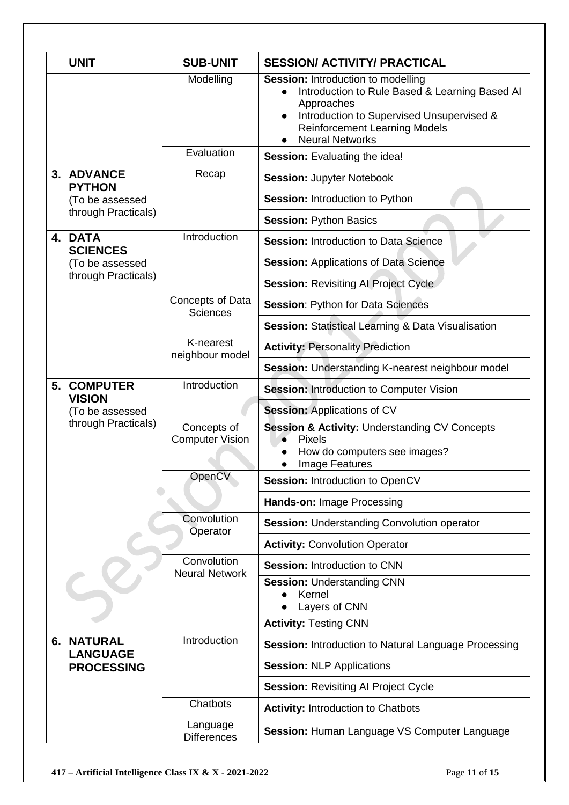|  | <b>UNIT</b>                          | <b>SUB-UNIT</b>                       | <b>SESSION/ ACTIVITY/ PRACTICAL</b>                                                                                                                                                                                      |
|--|--------------------------------------|---------------------------------------|--------------------------------------------------------------------------------------------------------------------------------------------------------------------------------------------------------------------------|
|  |                                      | Modelling                             | <b>Session:</b> Introduction to modelling<br>Introduction to Rule Based & Learning Based Al<br>Approaches<br>Introduction to Supervised Unsupervised &<br><b>Reinforcement Learning Models</b><br><b>Neural Networks</b> |
|  |                                      | Evaluation                            | Session: Evaluating the idea!                                                                                                                                                                                            |
|  | 3. ADVANCE                           | Recap                                 | <b>Session: Jupyter Notebook</b>                                                                                                                                                                                         |
|  | <b>PYTHON</b><br>(To be assessed     |                                       | <b>Session: Introduction to Python</b>                                                                                                                                                                                   |
|  | through Practicals)                  |                                       | <b>Session: Python Basics</b>                                                                                                                                                                                            |
|  | 4. DATA<br><b>SCIENCES</b>           | Introduction                          | <b>Session: Introduction to Data Science</b>                                                                                                                                                                             |
|  | (To be assessed                      |                                       | <b>Session: Applications of Data Science</b>                                                                                                                                                                             |
|  | through Practicals)                  |                                       | <b>Session: Revisiting Al Project Cycle</b>                                                                                                                                                                              |
|  |                                      | Concepts of Data<br><b>Sciences</b>   | <b>Session: Python for Data Sciences</b>                                                                                                                                                                                 |
|  |                                      |                                       | Session: Statistical Learning & Data Visualisation                                                                                                                                                                       |
|  |                                      | K-nearest<br>neighbour model          | <b>Activity: Personality Prediction</b>                                                                                                                                                                                  |
|  |                                      |                                       | Session: Understanding K-nearest neighbour model                                                                                                                                                                         |
|  | <b>5. COMPUTER</b><br><b>VISION</b>  | Introduction                          | <b>Session: Introduction to Computer Vision</b>                                                                                                                                                                          |
|  | (To be assessed                      |                                       | <b>Session: Applications of CV</b>                                                                                                                                                                                       |
|  | through Practicals)                  | Concepts of<br><b>Computer Vision</b> | <b>Session &amp; Activity: Understanding CV Concepts</b><br><b>Pixels</b><br>How do computers see images?<br>Image Features                                                                                              |
|  |                                      | OpenCV                                | <b>Session: Introduction to OpenCV</b>                                                                                                                                                                                   |
|  |                                      |                                       | Hands-on: Image Processing                                                                                                                                                                                               |
|  |                                      | Convolution<br>Operator               | Session: Understanding Convolution operator                                                                                                                                                                              |
|  |                                      |                                       | <b>Activity: Convolution Operator</b>                                                                                                                                                                                    |
|  |                                      | Convolution<br><b>Neural Network</b>  | <b>Session: Introduction to CNN</b>                                                                                                                                                                                      |
|  |                                      |                                       | <b>Session: Understanding CNN</b><br>Kernel<br>Layers of CNN                                                                                                                                                             |
|  |                                      |                                       | <b>Activity: Testing CNN</b>                                                                                                                                                                                             |
|  | <b>6. NATURAL</b><br><b>LANGUAGE</b> | Introduction                          | <b>Session: Introduction to Natural Language Processing</b>                                                                                                                                                              |
|  | <b>PROCESSING</b>                    |                                       | <b>Session: NLP Applications</b>                                                                                                                                                                                         |
|  |                                      |                                       | <b>Session: Revisiting AI Project Cycle</b>                                                                                                                                                                              |
|  |                                      | Chatbots                              | <b>Activity: Introduction to Chatbots</b>                                                                                                                                                                                |
|  |                                      | Language<br><b>Differences</b>        | Session: Human Language VS Computer Language                                                                                                                                                                             |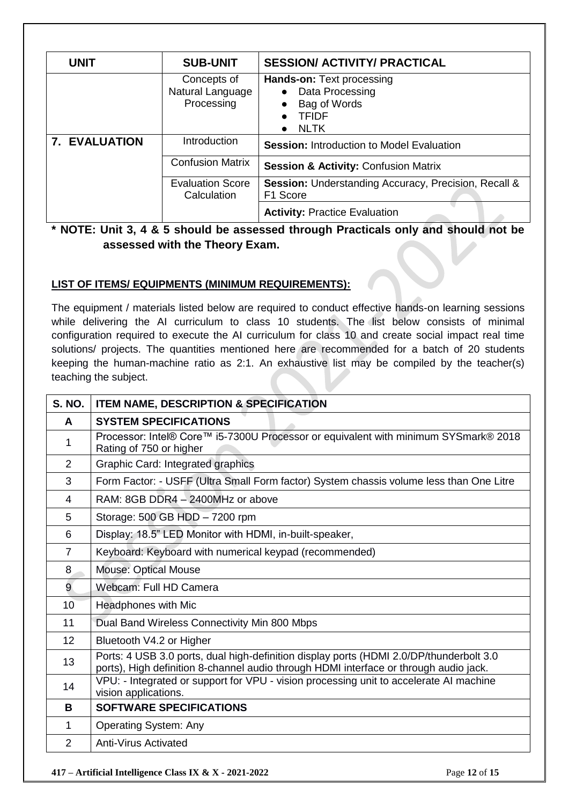| <b>UNIT</b>          | <b>SUB-UNIT</b>                               | <b>SESSION/ ACTIVITY/ PRACTICAL</b>                                                                             |  |  |
|----------------------|-----------------------------------------------|-----------------------------------------------------------------------------------------------------------------|--|--|
|                      | Concepts of<br>Natural Language<br>Processing | <b>Hands-on: Text processing</b><br>Data Processing<br>Bag of Words<br><b>TFIDF</b><br><b>NLTK</b><br>$\bullet$ |  |  |
| <b>7. EVALUATION</b> | Introduction                                  | <b>Session: Introduction to Model Evaluation</b>                                                                |  |  |
|                      | <b>Confusion Matrix</b>                       | <b>Session &amp; Activity: Confusion Matrix</b>                                                                 |  |  |
|                      | <b>Evaluation Score</b><br>Calculation        | <b>Session:</b> Understanding Accuracy, Precision, Recall &<br>F1 Score                                         |  |  |
|                      |                                               | <b>Activity: Practice Evaluation</b>                                                                            |  |  |

#### **\* NOTE: Unit 3, 4 & 5 should be assessed through Practicals only and should not be assessed with the Theory Exam.**

#### **LIST OF ITEMS/ EQUIPMENTS (MINIMUM REQUIREMENTS):**

The equipment / materials listed below are required to conduct effective hands-on learning sessions while delivering the AI curriculum to class 10 students. The list below consists of minimal configuration required to execute the AI curriculum for class 10 and create social impact real time solutions/ projects. The quantities mentioned here are recommended for a batch of 20 students keeping the human-machine ratio as 2:1. An exhaustive list may be compiled by the teacher(s) teaching the subject.

| <b>S. NO.</b>  | <b>ITEM NAME, DESCRIPTION &amp; SPECIFICATION</b>                                                                                                                                |  |  |
|----------------|----------------------------------------------------------------------------------------------------------------------------------------------------------------------------------|--|--|
| A              | <b>SYSTEM SPECIFICATIONS</b>                                                                                                                                                     |  |  |
| 1              | Processor: Intel® Core™ i5-7300U Processor or equivalent with minimum SYSmark® 2018<br>Rating of 750 or higher                                                                   |  |  |
| 2              | Graphic Card: Integrated graphics                                                                                                                                                |  |  |
| 3              | Form Factor: - USFF (Ultra Small Form factor) System chassis volume less than One Litre                                                                                          |  |  |
| 4              | RAM: 8GB DDR4 - 2400MHz or above                                                                                                                                                 |  |  |
| 5              | Storage: 500 GB HDD - 7200 rpm                                                                                                                                                   |  |  |
| 6              | Display: 18.5" LED Monitor with HDMI, in-built-speaker,                                                                                                                          |  |  |
| $\overline{7}$ | Keyboard: Keyboard with numerical keypad (recommended)                                                                                                                           |  |  |
| 8              | <b>Mouse: Optical Mouse</b>                                                                                                                                                      |  |  |
| $\overline{9}$ | Webcam: Full HD Camera                                                                                                                                                           |  |  |
| 10             | Headphones with Mic                                                                                                                                                              |  |  |
| 11             | Dual Band Wireless Connectivity Min 800 Mbps                                                                                                                                     |  |  |
| 12             | Bluetooth V4.2 or Higher                                                                                                                                                         |  |  |
| 13             | Ports: 4 USB 3.0 ports, dual high-definition display ports (HDMI 2.0/DP/thunderbolt 3.0<br>ports), High definition 8-channel audio through HDMI interface or through audio jack. |  |  |
| 14             | VPU: - Integrated or support for VPU - vision processing unit to accelerate AI machine<br>vision applications.                                                                   |  |  |
| B              | <b>SOFTWARE SPECIFICATIONS</b>                                                                                                                                                   |  |  |
| 1              | <b>Operating System: Any</b>                                                                                                                                                     |  |  |
| 2              | <b>Anti-Virus Activated</b>                                                                                                                                                      |  |  |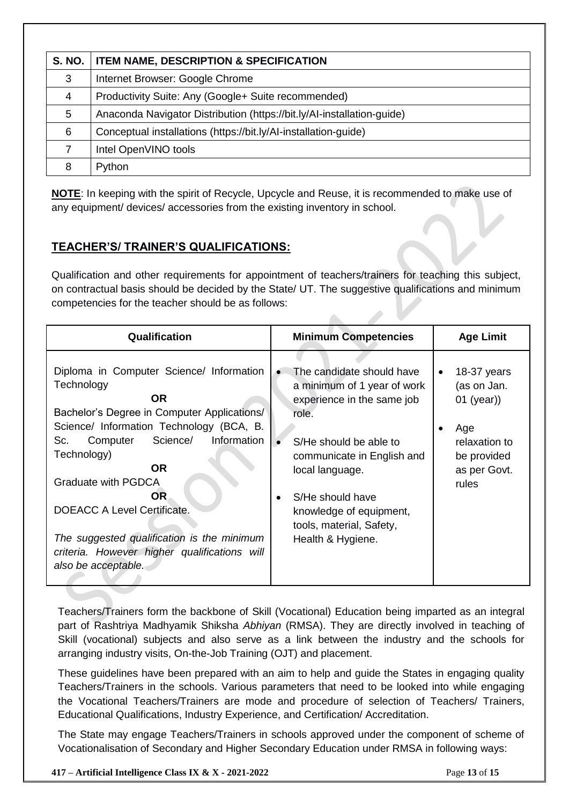| <b>S. NO.</b> | <b>ITEM NAME, DESCRIPTION &amp; SPECIFICATION</b>                      |
|---------------|------------------------------------------------------------------------|
| 3             | Internet Browser: Google Chrome                                        |
| 4             | Productivity Suite: Any (Google+ Suite recommended)                    |
| 5             | Anaconda Navigator Distribution (https://bit.ly/AI-installation-guide) |
| 6             | Conceptual installations (https://bit.ly/AI-installation-guide)        |
|               | Intel OpenVINO tools                                                   |
| 8             | Python                                                                 |

**NOTE**: In keeping with the spirit of Recycle, Upcycle and Reuse, it is recommended to make use of any equipment/ devices/ accessories from the existing inventory in school.

#### **TEACHER'S/ TRAINER'S QUALIFICATIONS:**

Qualification and other requirements for appointment of teachers/trainers for teaching this subject, on contractual basis should be decided by the State/ UT. The suggestive qualifications and minimum competencies for the teacher should be as follows:

 $\triangle$ 

| Qualification                                                                                                                                                                                                                                                                                                                                                                                                                                  | <b>Minimum Competencies</b>                                                                                                                                                                                                                                                                          | <b>Age Limit</b>                                                                                                             |
|------------------------------------------------------------------------------------------------------------------------------------------------------------------------------------------------------------------------------------------------------------------------------------------------------------------------------------------------------------------------------------------------------------------------------------------------|------------------------------------------------------------------------------------------------------------------------------------------------------------------------------------------------------------------------------------------------------------------------------------------------------|------------------------------------------------------------------------------------------------------------------------------|
| Diploma in Computer Science/ Information<br>Technology<br><b>OR</b><br>Bachelor's Degree in Computer Applications/<br>Science/ Information Technology (BCA, B.<br>Science/<br>Information<br>Sc.<br>Computer<br>Technology)<br><b>OR</b><br><b>Graduate with PGDCA</b><br><b>OR</b><br><b>DOEACC A Level Certificate.</b><br>The suggested qualification is the minimum<br>criteria. However higher qualifications will<br>also be acceptable. | The candidate should have<br>$\bullet$<br>a minimum of 1 year of work<br>experience in the same job<br>role.<br>S/He should be able to<br>communicate in English and<br>local language.<br>S/He should have<br>$\bullet$<br>knowledge of equipment,<br>tools, material, Safety,<br>Health & Hygiene. | 18-37 years<br>$\bullet$<br>(as on Jan.<br>$01$ (year))<br>Age<br>٠<br>relaxation to<br>be provided<br>as per Govt.<br>rules |

Teachers/Trainers form the backbone of Skill (Vocational) Education being imparted as an integral part of Rashtriya Madhyamik Shiksha *Abhiyan* (RMSA). They are directly involved in teaching of Skill (vocational) subjects and also serve as a link between the industry and the schools for arranging industry visits, On-the-Job Training (OJT) and placement.

These guidelines have been prepared with an aim to help and guide the States in engaging quality Teachers/Trainers in the schools. Various parameters that need to be looked into while engaging the Vocational Teachers/Trainers are mode and procedure of selection of Teachers/ Trainers, Educational Qualifications, Industry Experience, and Certification/ Accreditation.

The State may engage Teachers/Trainers in schools approved under the component of scheme of Vocationalisation of Secondary and Higher Secondary Education under RMSA in following ways: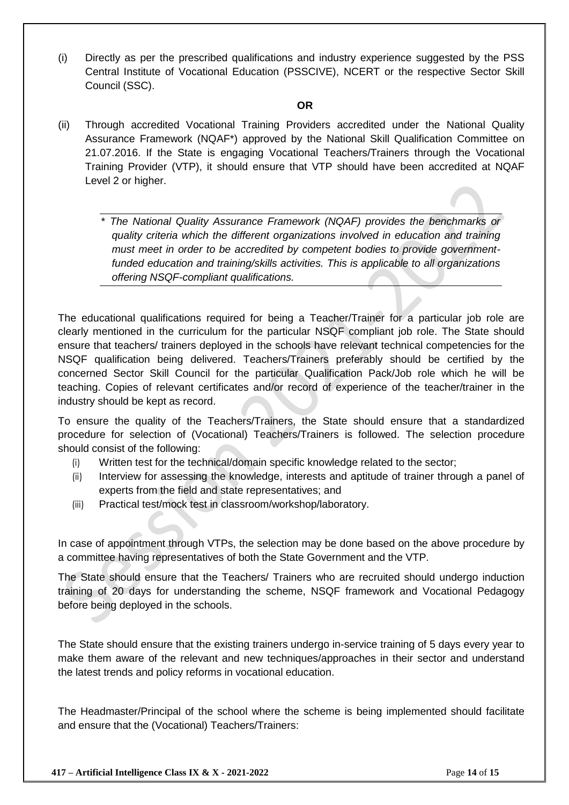(i) Directly as per the prescribed qualifications and industry experience suggested by the PSS Central Institute of Vocational Education (PSSCIVE), NCERT or the respective Sector Skill Council (SSC).

#### **OR**

- (ii) Through accredited Vocational Training Providers accredited under the National Quality Assurance Framework (NQAF\*) approved by the National Skill Qualification Committee on 21.07.2016. If the State is engaging Vocational Teachers/Trainers through the Vocational Training Provider (VTP), it should ensure that VTP should have been accredited at NQAF Level 2 or higher.
	- \* *The National Quality Assurance Framework (NQAF) provides the benchmarks or quality criteria which the different organizations involved in education and training must meet in order to be accredited by competent bodies to provide governmentfunded education and training/skills activities. This is applicable to all organizations offering NSQF-compliant qualifications.*

The educational qualifications required for being a Teacher/Trainer for a particular job role are clearly mentioned in the curriculum for the particular NSQF compliant job role. The State should ensure that teachers/ trainers deployed in the schools have relevant technical competencies for the NSQF qualification being delivered. Teachers/Trainers preferably should be certified by the concerned Sector Skill Council for the particular Qualification Pack/Job role which he will be teaching. Copies of relevant certificates and/or record of experience of the teacher/trainer in the industry should be kept as record.

To ensure the quality of the Teachers/Trainers, the State should ensure that a standardized procedure for selection of (Vocational) Teachers/Trainers is followed. The selection procedure should consist of the following:

- (i) Written test for the technical/domain specific knowledge related to the sector;
- (ii) Interview for assessing the knowledge, interests and aptitude of trainer through a panel of experts from the field and state representatives; and
- (iii) Practical test/mock test in classroom/workshop/laboratory.

In case of appointment through VTPs, the selection may be done based on the above procedure by a committee having representatives of both the State Government and the VTP.

The State should ensure that the Teachers/ Trainers who are recruited should undergo induction training of 20 days for understanding the scheme, NSQF framework and Vocational Pedagogy before being deployed in the schools.

The State should ensure that the existing trainers undergo in-service training of 5 days every year to make them aware of the relevant and new techniques/approaches in their sector and understand the latest trends and policy reforms in vocational education.

The Headmaster/Principal of the school where the scheme is being implemented should facilitate and ensure that the (Vocational) Teachers/Trainers: